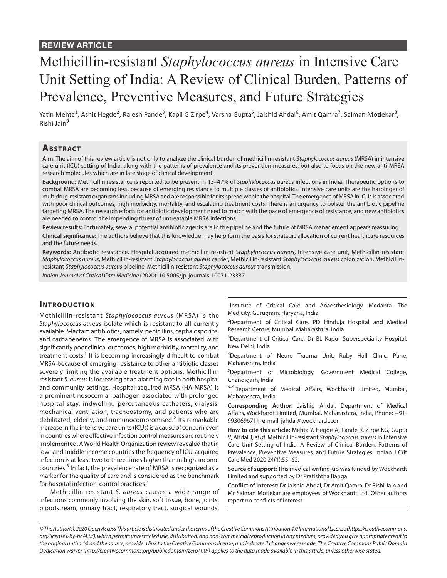# Methicillin-resistant *Staphylococcus aureus* in Intensive Care Unit Setting of India: A Review of Clinical Burden, Patterns of Prevalence, Preventive Measures, and Future Strategies

Yatin Mehta<sup>1</sup>, Ashit Hegde<sup>2</sup>, Rajesh Pande<sup>3</sup>, Kapil G Zirpe<sup>4</sup>, Varsha Gupta<sup>5</sup>, Jaishid Ahdal<sup>6</sup>, Amit Qamra<sup>7</sup>, Salman Motlekar<sup>8</sup>, Rishi Jain<sup>9</sup>

# **ABSTRACT**

**Aim:** The aim of this review article is not only to analyze the clinical burden of methicillin-resistant *Staphylococcus aureus* (MRSA) in intensive care unit (ICU) setting of India, along with the patterns of prevalence and its prevention measures, but also to focus on the new anti-MRSA research molecules which are in late stage of clinical development.

**Background:** Methicillin resistance is reported to be present in 13–47% of *Staphylococcus aureus* infections in India. Therapeutic options to combat MRSA are becoming less, because of emerging resistance to multiple classes of antibiotics. Intensive care units are the harbinger of multidrug-resistant organisms including MRSA and are responsible for its spread within the hospital. The emergence of MRSA in ICUs is associated with poor clinical outcomes, high morbidity, mortality, and escalating treatment costs. There is an urgency to bolster the antibiotic pipeline targeting MRSA. The research efforts for antibiotic development need to match with the pace of emergence of resistance, and new antibiotics are needed to control the impending threat of untreatable MRSA infections.

**Review results:** Fortunately, several potential antibiotic agents are in the pipeline and the future of MRSA management appears reassuring. **Clinical significance:** The authors believe that this knowledge may help form the basis for strategic allocation of current healthcare resources and the future needs.

**Keywords:** Antibiotic resistance, Hospital-acquired methicillin-resistant *Staphylococcus aureus*, Intensive care unit, Methicillin-resistant *Staphylococcus aureus*, Methicillin-resistant *Staphylococcus aureus* carrier, Methicillin-resistant *Staphylococcus aureus* colonization, Methicillinresistant *Staphylococcus aureus* pipeline, Methicillin-resistant *Staphylococcus aureus* transmission.

*Indian Journal of Critical Care Medicine* (2020): 10.5005/jp-journals-10071-23337

#### **INTRODUCTION**

Methicillin-resistant *Staphylococcus aureus* (MRSA) is the *Staphylococcus aureus* isolate which is resistant to all currently available β-lactam antibiotics, namely, penicillins, cephalosporins, and carbapenems. The emergence of MRSA is associated with significantly poor clinical outcomes, high morbidity, mortality, and treatment costs.<sup>1</sup> It is becoming increasingly difficult to combat MRSA because of emerging resistance to other antibiotic classes severely limiting the available treatment options. Methicillinresistant *S. aureus* is increasing at an alarming rate in both hospital and community settings. Hospital-acquired MRSA (HA-MRSA) is a prominent nosocomial pathogen associated with prolonged hospital stay, indwelling percutaneous catheters, dialysis, mechanical ventilation, tracheostomy, and patients who are debilitated, elderly, and immunocompromised.<sup>2</sup> Its remarkable increase in the intensive care units (ICUs) is a cause of concern even in countries where effective infection control measures are routinely implemented. A World Health Organization review revealed that in low- and middle-income countries the frequency of ICU-acquired infection is at least two to three times higher than in high-income countries.<sup>3</sup> In fact, the prevalence rate of MRSA is recognized as a marker for the quality of care and is considered as the benchmark for hospital infection-control practices.<sup>4</sup>

Methicillin-resistant *S. aureus* causes a wide range of infections commonly involving the skin, soft tissue, bone, joints, bloodstream, urinary tract, respiratory tract, surgical wounds,

<sup>1</sup>Institute of Critical Care and Anaesthesiology, Medanta-The Medicity, Gurugram, Haryana, India

<sup>2</sup>Department of Critical Care, PD Hinduja Hospital and Medical Research Centre, Mumbai, Maharashtra, India

<sup>3</sup>Department of Critical Care, Dr BL Kapur Superspeciality Hospital, New Delhi, India

4 Department of Neuro Trauma Unit, Ruby Hall Clinic, Pune, Maharashtra, India

<sup>5</sup>Department of Microbiology, Government Medical College, Chandigarh, India

<sup>6-9</sup>Department of Medical Affairs, Wockhardt Limited, Mumbai, Maharashtra, India

**Corresponding Author:** Jaishid Ahdal, Department of Medical Affairs, Wockhardt Limited, Mumbai, Maharashtra, India, Phone: +91- 9930696711, e-mail: jahdal@wockhardt.com

**How to cite this article:** Mehta Y, Hegde A, Pande R, Zirpe KG, Gupta V, Ahdal J, *et al.* Methicillin-resistant *Staphylococcus aureus* in Intensive Care Unit Setting of India: A Review of Clinical Burden, Patterns of Prevalence, Preventive Measures, and Future Strategies. Indian J Crit Care Med 2020;24(1):55–62.

**Source of support:** This medical writing-up was funded by Wockhardt Limited and supported by Dr Pratishtha Banga

**Conflict of interest:** Dr Jaishid Ahdal, Dr Amit Qamra, Dr Rishi Jain and Mr Salman Motlekar are employees of Wockhardt Ltd. Other authors report no conflicts of interest

*<sup>©</sup> The Author(s). 2020 Open Access This article is distributed under the terms of the Creative Commons Attribution 4.0 International License (https://creativecommons. org/licenses/by-nc/4.0/), which permits unrestricted use, distribution, and non-commercial reproduction in any medium, provided you give appropriate credit to the original author(s) and the source, provide a link to the Creative Commons license, and indicate if changes were made. The Creative Commons Public Domain Dedication waiver (http://creativecommons.org/publicdomain/zero/1.0/) applies to the data made available in this article, unless otherwise stated.*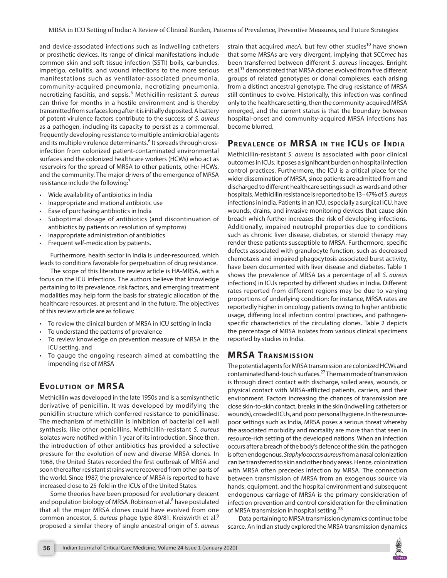and device-associated infections such as indwelling catheters or prosthetic devices. Its range of clinical manifestations include common skin and soft tissue infection (SSTI) boils, carbuncles, impetigo, cellulitis, and wound infections to the more serious manifestations such as ventilator-associated pneumonia, community-acquired pneumonia, necrotizing pneumonia, necrotizing fasciitis, and sepsis.<sup>5</sup> Methicillin-resistant *S. aureus* can thrive for months in a hostile environment and is thereby transmitted from surfaces long after it is initially deposited. A battery of potent virulence factors contribute to the success of *S. aureus* as a pathogen, including its capacity to persist as a commensal, frequently developing resistance to multiple antimicrobial agents and its multiple virulence determinants.<sup>6</sup> It spreads through crossinfection from colonized patient-contaminated environmental surfaces and the colonized healthcare workers (HCWs) who act as reservoirs for the spread of MRSA to other patients, other HCWs, and the community. The major drivers of the emergence of MRSA resistance include the following:<sup>7</sup>

- Wide availability of antibiotics in India
- Inappropriate and irrational antibiotic use
- Ease of purchasing antibiotics in India
- Suboptimal dosage of antibiotics (and discontinuation of antibiotics by patients on resolution of symptoms)
- Inappropriate administration of antibiotics
- Frequent self-medication by patients.

Furthermore, health sector in India is under-resourced, which leads to conditions favorable for perpetuation of drug resistance.

The scope of this literature review article is HA-MRSA, with a focus on the ICU infections. The authors believe that knowledge pertaining to its prevalence, risk factors, and emerging treatment modalities may help form the basis for strategic allocation of the healthcare resources, at present and in the future. The objectives of this review article are as follows:

- To review the clinical burden of MRSA in ICU setting in India
- To understand the patterns of prevalence
- To review knowledge on prevention measure of MRSA in the ICU setting, and
- To gauge the ongoing research aimed at combatting the impending rise of MRSA

# **EVOLUTION OF MRSA**

Methicillin was developed in the late 1950s and is a semisynthetic derivative of penicillin. It was developed by modifying the penicillin structure which conferred resistance to penicillinase. The mechanism of methicillin is inhibition of bacterial cell wall synthesis, like other penicillins. Methicillin-resistant *S. aureus* isolates were notified within 1 year of its introduction. Since then, the introduction of other antibiotics has provided a selective pressure for the evolution of new and diverse MRSA clones. In 1968, the United States recorded the first outbreak of MRSA and soon thereafter resistant strains were recovered from other parts of the world. Since 1987, the prevalence of MRSA is reported to have increased close to 25-fold in the ICUs of the United States.

Some theories have been proposed for evolutionary descent and population biology of MRSA. Robinson et al.<sup>8</sup> have postulated that all the major MRSA clones could have evolved from one common ancestor, *S. aureus* phage type 80/81. Kreiswirth et al.9 proposed a similar theory of single ancestral origin of *S. aureus*

strain that acquired *mecA*, but few other studies<sup>10</sup> have shown that some MRSAs are very divergent, implying that SCC*mec* has been transferred between different *S. aureus* lineages. Enright et al.<sup>11</sup> demonstrated that MRSA clones evolved from five different groups of related genotypes or clonal complexes, each arising from a distinct ancestral genotype. The drug resistance of MRSA still continues to evolve. Historically, this infection was confined only to the healthcare setting, then the community-acquired MRSA emerged, and the current status is that the boundary between hospital-onset and community-acquired MRSA infections has become blurred.

# **PREVALENCE OF MRSA IN THE ICUS OF INDIA**

Methicillin-resistant *S. aureus* is associated with poor clinical outcomes in ICUs. It poses a significant burden on hospital infection control practices. Furthermore, the ICU is a critical place for the wider dissemination of MRSA, since patients are admitted from and discharged to different healthcare settings such as wards and other hospitals. Methicillin resistance is reported to be 13–47% of *S. aureus* infections in India. Patients in an ICU, especially a surgical ICU, have wounds, drains, and invasive monitoring devices that cause skin breach which further increases the risk of developing infections. Additionally, impaired neutrophil properties due to conditions such as chronic liver disease, diabetes, or steroid therapy may render these patients susceptible to MRSA. Furthermore, specific defects associated with granulocyte function, such as decreased chemotaxis and impaired phagocytosis-associated burst activity, have been documented with liver disease and diabetes. Table 1 shows the prevalence of MRSA (as a percentage of all *S. aureus* infections) in ICUs reported by different studies in India. Different rates reported from different regions may be due to varying proportions of underlying condition: for instance, MRSA rates are reportedly higher in oncology patients owing to higher antibiotic usage, differing local infection control practices, and pathogenspecific characteristics of the circulating clones. Table 2 depicts the percentage of MRSA isolates from various clinical specimens reported by studies in India.

## **MRSA TRANSMISSION**

The potential agents for MRSA transmission are colonized HCWs and contaminated hand-touch surfaces.27 The main mode of transmission is through direct contact with discharge, soiled areas, wounds, or physical contact with MRSA-afflicted patients, carriers, and their environment. Factors increasing the chances of transmission are close skin-to-skin contact, breaks in the skin (indwelling catheters or wounds), crowded ICUs, and poor personal hygiene. In the resourcepoor settings such as India, MRSA poses a serious threat whereby the associated morbidity and mortality are more than that seen in resource-rich setting of the developed nations. When an infection occurs after a breach of the body's defence of the skin, the pathogen is often endogenous. *Staphylococcus aureus* from a nasal colonization can be transferred to skin and other body areas. Hence, colonization with MRSA often precedes infection by MRSA. The connection between transmission of MRSA from an exogenous source via hands, equipment, and the hospital environment and subsequent endogenous carriage of MRSA is the primary consideration of infection prevention and control consideration for the elimination of MRSA transmission in hospital setting.<sup>28</sup>

Data pertaining to MRSA transmission dynamics continue to be scarce. An Indian study explored the MRSA transmission dynamics

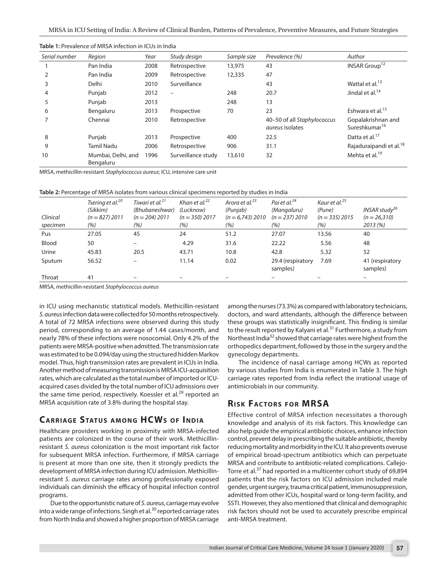| Serial number | Region                          | Year | Study design       | Sample size | Prevalence (%)                                        | Author                                          |
|---------------|---------------------------------|------|--------------------|-------------|-------------------------------------------------------|-------------------------------------------------|
|               | Pan India                       | 2008 | Retrospective      | 13,975      | 43                                                    | INSAR Group <sup>12</sup>                       |
|               | Pan India                       | 2009 | Retrospective      | 12,335      | 47                                                    |                                                 |
| 3             | Delhi                           | 2010 | Surveillance       |             | 43                                                    | Wattal et al. <sup>13</sup>                     |
| 4             | Punjab                          | 2012 |                    | 248         | 20.7                                                  | Jindal et al. <sup>14</sup>                     |
| 5             | Punjab                          | 2013 |                    | 248         | 13                                                    |                                                 |
| 6             | Bengaluru                       | 2013 | Prospective        | 70          | 23                                                    | Eshwara et al. <sup>15</sup>                    |
|               | Chennai                         | 2010 | Retrospective      |             | 40-50 of all Staphylococcus<br><i>aureus</i> isolates | Gopalakrishnan and<br>Sureshkumar <sup>16</sup> |
| 8             | Punjab                          | 2013 | Prospective        | 400         | 22.5                                                  | Datta et al. <sup>17</sup>                      |
| 9             | <b>Tamil Nadu</b>               | 2006 | Retrospective      | 906         | 31.1                                                  | Rajaduraipandi et al. <sup>18</sup>             |
| 10            | Mumbai, Delhi, and<br>Bengaluru | 1996 | Surveillance study | 13,610      | 32                                                    | Mehta et al. <sup>19</sup>                      |

**Table 1:** Prevalence of MRSA infection in ICUs in India

MRSA, methicillin-resistant *Staphylococcus aureus*; ICU, intensive care unit

| Table 2: Percentage of MRSA isolates from various clinical specimens reported by studies in India |  |  |  |
|---------------------------------------------------------------------------------------------------|--|--|--|
|                                                                                                   |  |  |  |

| Clinical<br>specimen | Tsering et al. <sup>20</sup><br>(Sikkim)<br>$(n = 827)$ 2011<br>(%) | Tiwari et al. <sup>21</sup><br>(Bhubaneshwar)<br>$(n = 204)$ 2011<br>(%) | Khan et al. <sup>22</sup><br>(Lucknow)<br>$(n = 350)$ 2017<br>(%) | Arora et al. <sup>23</sup><br>(Punjab)<br>$(n = 6,743)$ 2010<br>(%) | Pai et al. $^{24}$<br>(Mangaluru)<br>$(n = 237)$ 2010<br>(%) | Kaur et al. <sup>25</sup><br>(Pune)<br>$(n = 335)$ 2015<br>(%) | INSAR study <sup>26</sup><br>$(n = 26,310)$<br>2013(%) |
|----------------------|---------------------------------------------------------------------|--------------------------------------------------------------------------|-------------------------------------------------------------------|---------------------------------------------------------------------|--------------------------------------------------------------|----------------------------------------------------------------|--------------------------------------------------------|
| Pus                  | 27.05                                                               | 45                                                                       | 24                                                                | 51.2                                                                | 27.07                                                        | 13.56                                                          | 40                                                     |
| Blood                | 50                                                                  | $\overline{\phantom{0}}$                                                 | 4.29                                                              | 31.6                                                                | 22.22                                                        | 5.56                                                           | 48                                                     |
| Urine                | 45.83                                                               | 20.5                                                                     | 43.71                                                             | 10.8                                                                | 42.8                                                         | 5.32                                                           | 52                                                     |
| Sputum               | 56.52                                                               |                                                                          | 11.14                                                             | 0.02                                                                | 29.4 (respiratory<br>samples)                                | 7.69                                                           | 41 (respiratory<br>samples)                            |
| Throat               | 41                                                                  |                                                                          |                                                                   |                                                                     |                                                              |                                                                |                                                        |

MRSA, methicillin-resistant *Staphylococcus aureus*

in ICU using mechanistic statistical models. Methicillin-resistant *S. aureus* infection data were collected for 50 months retrospectively. A total of 72 MRSA infections were observed during this study period, corresponding to an average of 1.44 cases/month, and nearly 78% of these infections were nosocomial. Only 4.2% of the patients were MRSA-positive when admitted. The transmission rate was estimated to be 0.094/day using the structured hidden Markov model. Thus, high transmission rates are prevalent in ICUs in India. Another method of measuring transmission is MRSA ICU-acquisition rates, which are calculated as the total number of imported or ICUacquired cases divided by the total number of ICU admissions over the same time period, respectively. Koessler et al.<sup>29</sup> reported an MRSA acquisition rate of 3.8% during the hospital stay.

## **CARRIAGE STATUS AMONG HCWS OF INDIA**

Healthcare providers working in proximity with MRSA-infected patients are colonized in the course of their work. Methicillinresistant *S. aureus* colonization is the most important risk factor for subsequent MRSA infection. Furthermore, if MRSA carriage is present at more than one site, then it strongly predicts the development of MRSA infection during ICU admission. Methicillinresistant *S. aureus* carriage rates among professionally exposed individuals can diminish the efficacy of hospital infection control programs.

Due to the opportunistic nature of *S. aureus*, carriage may evolve into a wide range of infections. Singh et al. $30$  reported carriage rates from North India and showed a higher proportion of MRSA carriage among the nurses (73.3%) as compared with laboratory technicians, doctors, and ward attendants, although the difference between these groups was statistically insignificant. This finding is similar to the result reported by Kalyani et al.<sup>31</sup> Furthermore, a study from Northeast India<sup>32</sup> showed that carriage rates were highest from the orthopedics department, followed by those in the surgery and the gynecology departments.

The incidence of nasal carriage among HCWs as reported by various studies from India is enumerated in Table 3. The high carriage rates reported from India reflect the irrational usage of antimicrobials in our community.

#### **RISK FACTORS FOR MRSA**

Effective control of MRSA infection necessitates a thorough knowledge and analysis of its risk factors. This knowledge can also help guide the empirical antibiotic choices, enhance infection control, prevent delay in prescribing the suitable antibiotic, thereby reducing mortality and morbidity in the ICU. It also prevents overuse of empirical broad-spectrum antibiotics which can perpetuate MRSA and contribute to antibiotic-related complications. Callejo-Torre et al.<sup>37</sup> had reported in a multicenter cohort study of 69,894 patients that the risk factors on ICU admission included male gender, urgent surgery, trauma critical patient, immunosuppression, admitted from other ICUs, hospital ward or long-term facility, and SSTI. However, they also mentioned that clinical and demographic risk factors should not be used to accurately prescribe empirical anti-MRSA treatment.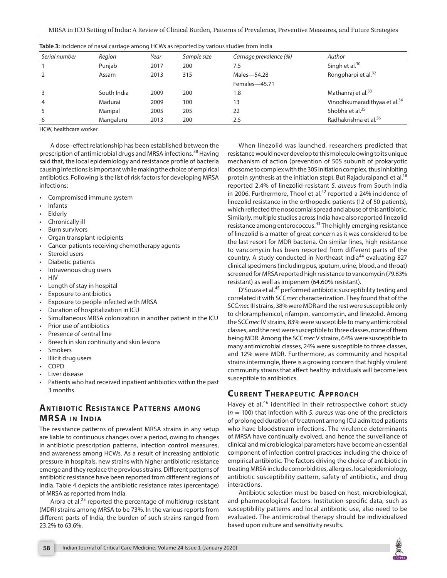| Serial number  | Region      | Year | Sample size | Carriage prevalence (%) | Author                                   |
|----------------|-------------|------|-------------|-------------------------|------------------------------------------|
|                | Punjab      | 2017 | 200         | 7.5                     | Singh et al. $30$                        |
|                | Assam       | 2013 | 315         | Males-54.28             | Rongpharpi et al. <sup>32</sup>          |
|                |             |      |             | Females-45.71           |                                          |
| 3              | South India | 2009 | 200         | 1.8                     | Mathanraj et al. <sup>33</sup>           |
| $\overline{4}$ | Madurai     | 2009 | 100         | 13                      | Vinodhkumaradithyaa et al. <sup>34</sup> |
| 5              | Manipal     | 2005 | 205         | 22                      | Shobha et al. <sup>35</sup>              |
| 6              | Mangaluru   | 2013 | 200         | 2.5                     | Radhakrishna et al. <sup>36</sup>        |

**Table 3:** Incidence of nasal carriage among HCWs as reported by various studies from India

HCW, healthcare worker

A dose–effect relationship has been established between the prescription of antimicrobial drugs and MRSA infections.38 Having said that, the local epidemiology and resistance profile of bacteria causing infections is important while making the choice of empirical antibiotics. Following is the list of risk factors for developing MRSA infections:

- Compromised immune system
- **Infants**
- **Elderly**
- Chronically ill
- **Burn survivors**
- Organ transplant recipients
- Cancer patients receiving chemotherapy agents
- Steroid users
- Diabetic patients
- Intravenous drug users
- HIV
- Length of stay in hospital
- Exposure to antibiotics
- Exposure to people infected with MRSA
- Duration of hospitalization in ICU
- Simultaneous MRSA colonization in another patient in the ICU
- Prior use of antibiotics
- Presence of central line
- Breech in skin continuity and skin lesions
- **Smokers**
- Illicit drug users
- COPD
- Liver disease
- Patients who had received inpatient antibiotics within the past 3 months.

# **ANTIBIOTIC RESISTANCE PATTERNS AMONG MRSA IN INDIA**

The resistance patterns of prevalent MRSA strains in any setup are liable to continuous changes over a period, owing to changes in antibiotic prescription patterns, infection control measures, and awareness among HCWs. As a result of increasing antibiotic pressure in hospitals, new strains with higher antibiotic resistance emerge and they replace the previous strains. Different patterns of antibiotic resistance have been reported from different regions of India. Table 4 depicts the antibiotic resistance rates (percentage) of MRSA as reported from India.

Arora et al. $^{23}$  reported the percentage of multidrug-resistant (MDR) strains among MRSA to be 73%. In the various reports from different parts of India, the burden of such strains ranged from 23.2% to 63.6%.

When linezolid was launched, researchers predicted that resistance would never develop to this molecule owing to its unique mechanism of action (prevention of 50S subunit of prokaryotic ribosome to complex with the 30S initiation complex, thus inhibiting protein synthesis at the initiation step). But Rajaduraipandi et al.<sup>18</sup> reported 2.4% of linezolid-resistant *S. aureus* from South India in 2006. Furthermore, Thool et al. $42$  reported a 24% incidence of linezolid resistance in the orthopedic patients (12 of 50 patients), which reflected the nosocomial spread and abuse of this antibiotic. Similarly, multiple studies across India have also reported linezolid resistance among enterococcus.<sup>43</sup> The highly emerging resistance of linezolid is a matter of great concern as it was considered to be the last resort for MDR bacteria. On similar lines, high resistance to vancomycin has been reported from different parts of the country. A study conducted in Northeast India<sup>44</sup> evaluating 827 clinical specimens (including pus, sputum, urine, blood, and throat) screened for MRSA reported high resistance to vancomycin (79.83% resistant) as well as imipenem (64.60% resistant).

D'Souza et al.<sup>45</sup> performed antibiotic susceptibility testing and correlated it with SCC*mec* characterization. They found that of the SCC*mec* III strains, 38% were MDR and the rest were susceptible only to chloramphenicol, rifampin, vancomycin, and linezolid. Among the SCC*mec* IV strains, 83% were susceptible to many antimicrobial classes, and the rest were susceptible to three classes, none of them being MDR. Among the SCC*mec* V strains, 64% were susceptible to many antimicrobial classes, 24% were susceptible to three classes, and 12% were MDR. Furthermore, as community and hospital strains intermingle, there is a growing concern that highly virulent community strains that affect healthy individuals will become less susceptible to antibiotics.

# **CURRENT THERAPEUTIC APPROACH**

Havey et al.<sup>46</sup> identified in their retrospective cohort study (*n* = 100) that infection with *S. aureus* was one of the predictors of prolonged duration of treatment among ICU admitted patients who have bloodstream infections. The virulence determinants of MRSA have continually evolved, and hence the surveillance of clinical and microbiological parameters have become an essential component of infection control practices including the choice of empirical antibiotic. The factors driving the choice of antibiotic in treating MRSA include comorbidities, allergies, local epidemiology, antibiotic susceptibility pattern, safety of antibiotic, and drug interactions.

Antibiotic selection must be based on host, microbiological, and pharmacological factors. Institution-specific data, such as susceptibility patterns and local antibiotic use, also need to be evaluated. The antimicrobial therapy should be individualized based upon culture and sensitivity results.

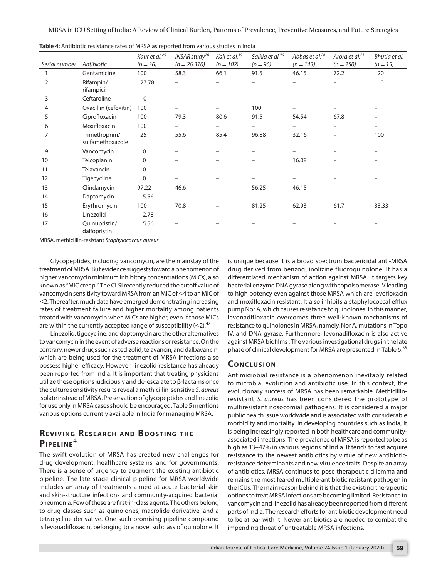| Serial number | Antibiotic                        | Kaur et al. <sup>25</sup><br>$(n = 36)$ | INSAR study <sup>26</sup><br>$(n = 26,310)$ | Kali et al. <sup>39</sup><br>$(n = 102)$ | Saikia et al. <sup>40</sup><br>$(n = 96)$ | Abbas et al. <sup>26</sup><br>$(n = 143)$ | Arora et al. <sup>23</sup><br>$(n = 250)$ | Bhutia et al.<br>$(n = 15)$ |
|---------------|-----------------------------------|-----------------------------------------|---------------------------------------------|------------------------------------------|-------------------------------------------|-------------------------------------------|-------------------------------------------|-----------------------------|
|               | Gentamicine                       | 100                                     | 58.3                                        | 66.1                                     | 91.5                                      | 46.15                                     | 72.2                                      | 20                          |
| 2             | Rifampin/<br>rifampicin           | 27.78                                   |                                             |                                          |                                           |                                           |                                           | $\Omega$                    |
| 3             | Ceftaroline                       | 0                                       |                                             |                                          |                                           |                                           |                                           |                             |
| 4             | Oxacillin (cefoxitin)             | 100                                     |                                             |                                          | 100                                       |                                           |                                           |                             |
| 5             | Ciprofloxacin                     | 100                                     | 79.3                                        | 80.6                                     | 91.5                                      | 54.54                                     | 67.8                                      |                             |
| 6             | Moxifloxacin                      | 100                                     | $\overline{\phantom{0}}$                    | $\overline{\phantom{0}}$                 | $\overline{\phantom{0}}$                  |                                           |                                           |                             |
| 7             | Trimethoprim/<br>sulfamethoxazole | 25                                      | 55.6                                        | 85.4                                     | 96.88                                     | 32.16                                     | $\overline{\phantom{0}}$                  | 100                         |
| 9             | Vancomycin                        | $\Omega$                                |                                             |                                          |                                           |                                           |                                           |                             |
| 10            | Teicoplanin                       | $\Omega$                                |                                             |                                          |                                           | 16.08                                     |                                           |                             |
| 11            | Telavancin                        | $\Omega$                                |                                             | -                                        |                                           |                                           |                                           |                             |
| 12            | Tigecycline                       | $\Omega$                                |                                             |                                          |                                           |                                           |                                           |                             |
| 13            | Clindamycin                       | 97.22                                   | 46.6                                        |                                          | 56.25                                     | 46.15                                     |                                           |                             |
| 14            | Daptomycin                        | 5.56                                    |                                             |                                          |                                           |                                           |                                           |                             |
| 15            | Erythromycin                      | 100                                     | 70.8                                        |                                          | 81.25                                     | 62.93                                     | 61.7                                      | 33.33                       |
| 16            | Linezolid                         | 2.78                                    | -                                           |                                          | $\qquad \qquad -$                         | $\equiv$                                  | -                                         |                             |
| 17            | Quinupristin/<br>dalfopristin     | 5.56                                    |                                             |                                          |                                           |                                           |                                           |                             |

| Table 4: Antibiotic resistance rates of MRSA as reported from various studies in India |  |  |  |
|----------------------------------------------------------------------------------------|--|--|--|
|----------------------------------------------------------------------------------------|--|--|--|

MRSA, methicillin-resistant *Staphylococcus aureus*

Glycopeptides, including vancomycin, are the mainstay of the treatment of MRSA. But evidence suggests toward a phenomenon of higher vancomycin minimum inhibitory concentrations (MICs), also known as "MIC creep." The CLSI recently reduced the cutoff value of vancomycin sensitivity toward MRSA from an MIC of ≤4 to an MIC of ≤2. Thereafter, much data have emerged demonstrating increasing rates of treatment failure and higher mortality among patients treated with vancomycin when MICs are higher, even if those MICs are within the currently accepted range of susceptibility  $(\leq 2)$ .<sup>47</sup>

Linezolid, tigecycline, and daptomycin are the other alternatives to vancomycin in the event of adverse reactions or resistance. On the contrary, newer drugs such as tedizolid, telavancin, and dalbavancin, which are being used for the treatment of MRSA infections also possess higher efficacy. However, linezolid resistance has already been reported from India. It is important that treating physicians utilize these options judiciously and de-escalate to β-lactams once the culture sensitivity results reveal a methicillin-sensitive *S. aureus* isolate instead of MRSA. Preservation of glycopeptides and linezolid for use only in MRSA cases should be encouraged. Table 5 mentions various options currently available in India for managing MRSA.

# **REVIVING RESEARCH AND BOOSTING THE Pipeline**<sup>41</sup>

The swift evolution of MRSA has created new challenges for drug development, healthcare systems, and for governments. There is a sense of urgency to augment the existing antibiotic pipeline. The late-stage clinical pipeline for MRSA worldwide includes an array of treatments aimed at acute bacterial skin and skin-structure infections and community-acquired bacterial pneumonia. Few of these are first-in-class agents. The others belong to drug classes such as quinolones, macrolide derivative, and a tetracycline derivative. One such promising pipeline compound is levonadifloxacin, belonging to a novel subclass of quinolone. It is unique because it is a broad spectrum bactericidal anti-MRSA drug derived from benzoquinolizine fluoroquinolone. It has a differentiated mechanism of action against MRSA. It targets key bacterial enzyme DNA gyrase along with topoisomerase IV leading to high potency even against those MRSA which are levofloxacin and moxifloxacin resistant. It also inhibits a staphylococcal efflux pump Nor A, which causes resistance to quinolones. In this manner, levonadifloxacin overcomes three well-known mechanisms of resistance to quinolones in MRSA, namely, Nor A, mutations in Topo IV, and DNA gyrase. Furthermore, levonadifloxacin is also active against MRSA biofilms . The various investigational drugs in the late phase of clinical development for MRSA are presented in Table 6.<sup>55</sup>

#### **CONCLUSION**

Antimicrobial resistance is a phenomenon inevitably related to microbial evolution and antibiotic use. In this context, the evolutionary success of MRSA has been remarkable. Methicillinresistant *S. aureus* has been considered the prototype of multiresistant nosocomial pathogens. It is considered a major public health issue worldwide and is associated with considerable morbidity and mortality. In developing countries such as India, it is being increasingly reported in both healthcare and communityassociated infections. The prevalence of MRSA is reported to be as high as 13–47% in various regions of India. It tends to fast acquire resistance to the newest antibiotics by virtue of new antibioticresistance determinants and new virulence traits. Despite an array of antibiotics, MRSA continues to pose therapeutic dilemma and remains the most feared multiple-antibiotic resistant pathogen in the ICUs. The main reason behind it is that the existing therapeutic options to treat MRSA infections are becoming limited. Resistance to vancomycin and linezolid has already been reported from different parts of India. The research efforts for antibiotic development need to be at par with it. Newer antibiotics are needed to combat the impending threat of untreatable MRSA infections.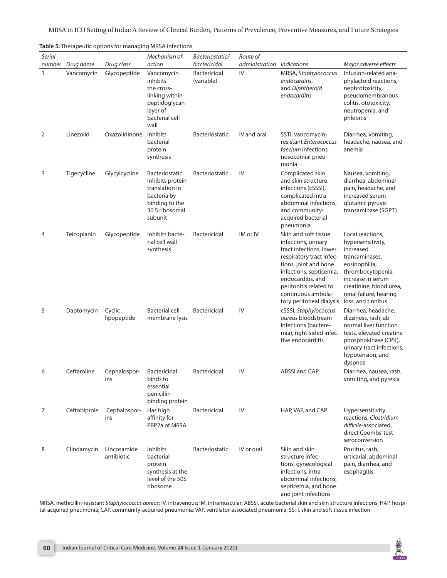|               |                                |                            | Table 5: Therapeutic options for managing MRSA infections                                                               |                                            |                      |                                                                                                                                                                                                                                                         |                                                                                                                                                                                                            |
|---------------|--------------------------------|----------------------------|-------------------------------------------------------------------------------------------------------------------------|--------------------------------------------|----------------------|---------------------------------------------------------------------------------------------------------------------------------------------------------------------------------------------------------------------------------------------------------|------------------------------------------------------------------------------------------------------------------------------------------------------------------------------------------------------------|
| <b>Serial</b> |                                |                            | Mechanism of                                                                                                            | Bacteriostatic/                            | Route of             |                                                                                                                                                                                                                                                         |                                                                                                                                                                                                            |
| 1             | number Drug name<br>Vancomycin | Drug class<br>Glycopeptide | action<br>Vancomycin<br>inhibits<br>the cross-<br>linking within<br>peptidoglycan<br>layer of<br>bacterial cell<br>wall | bactericidal<br>Bactericidal<br>(variable) | administration<br>IV | Indications<br>MRSA, Staphylococcus<br>endocarditis,<br>and Diphtheroid<br>endocarditis                                                                                                                                                                 | Major adverse effects<br>Infusion-related ana-<br>phylactoid reactions,<br>nephrotoxicity,<br>pseudomembranous<br>colitis, ototoxicity,<br>neutropenia, and<br>phlebitis                                   |
| 2             | Linezolid                      | Oxazolidinone              | <b>Inhibits</b><br>bacterial<br>protein<br>synthesis                                                                    | Bacteriostatic                             | IV and oral          | SSTI, vancomycin-<br>resistant Enterococcus<br><i>faecium</i> infections,<br>nosocomial pneu-<br>monia                                                                                                                                                  | Diarrhea, vomiting,<br>headache, nausea, and<br>anemia                                                                                                                                                     |
| 3             | Tigecycline                    | Glycylcycline              | Bacteriostatic:<br>inhibits protein<br>translation in<br>bacteria by<br>binding to the<br>30 S ribosomal<br>subunit     | Bacteriostatic                             | IV                   | Complicated skin<br>and skin structure<br>infections (cSSSI),<br>complicated intra-<br>abdominal infections,<br>and community-<br>acquired bacterial<br>pneumonia                                                                                       | Nausea, vomiting,<br>diarrhea, abdominal<br>pain, headache, and<br>increased serum<br>glutamic pyruvic<br>transaminase (SGPT)                                                                              |
| 4             | Teicoplanin                    | Glycopeptide               | Inhibits bacte-<br>rial cell wall<br>synthesis                                                                          | Bactericidal                               | IM or IV             | Skin and soft tissue<br>infections, urinary<br>tract infections, lower<br>respiratory tract infec-<br>tions, joint and bone<br>infections, septicemia,<br>endocarditis, and<br>peritonitis related to<br>continuous ambula-<br>tory peritoneal dialysis | Local reactions,<br>hypersensitivity,<br>increased<br>transaminases,<br>eosinophilia,<br>thrombocytopenia,<br>increase in serum<br>creatinine, blood urea,<br>renal failure, hearing<br>loss, and tinnitus |
| 5             | Daptomycin                     | Cyclic<br>lipopeptide      | <b>Bacterial cell</b><br>membrane lysis                                                                                 | Bactericidal                               | IV                   | cSSSI, Staphylococcus<br><i>aureus</i> bloodstream<br>infections (bactere-<br>mia), right-sided infec-<br>tive endocarditis                                                                                                                             | Diarrhea, headache,<br>dizziness, rash, ab-<br>normal liver function<br>tests, elevated creatine<br>phosphokinase (CPK),<br>urinary tract infections,<br>hypotension, and<br>dyspnea                       |
| 6             | Ceftaroline                    | Cephalospor-<br>ins        | Bactericidal:<br>binds to<br>essential<br>penicillin-<br>binding protein                                                | <b>Bactericidal</b>                        | ${\sf IV}$           | ABSSI and CAP                                                                                                                                                                                                                                           | Diarrhea, nausea, rash,<br>vomiting, and pyrexia                                                                                                                                                           |
| 7             | Ceftobiprole                   | Cephalospor-<br>ins        | Has high<br>affinity for<br>PBP2a of MRSA                                                                               | Bactericidal                               | IV                   | HAP, VAP, and CAP                                                                                                                                                                                                                                       | Hypersensitivity<br>reactions, Clostridium<br>difficile-associated,<br>direct Coombs' test<br>seroconversion                                                                                               |
| 8             | Clindamycin                    | Lincosamide<br>antibiotic  | Inhibits<br>bacterial<br>protein<br>synthesis at the<br>level of the 50S<br>ribosome                                    | <b>Bacteriostatic</b>                      | IV or oral           | Skin and skin<br>structure infec-<br>tions, gynecological<br>infections, intra-<br>abdominal infections,<br>septicemia, and bone<br>and joint infections                                                                                                | Pruritus, rash,<br>urticarial, abdominal<br>pain, diarrhea, and<br>esophagitis                                                                                                                             |

MRSA, methicillin-resistant *Staphylococcus aureus*; IV, intravenous; IM, intramuscular; ABSSI, acute bacterial skin and skin structure infections; HAP, hospital-acquired pneumonia; CAP, community-acquired pneumonia; VAP, ventilator-associated pneumonia; SSTI, skin and soft tissue infection

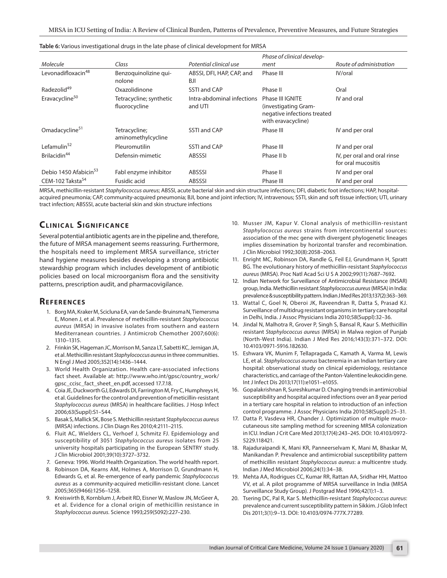|                                   |                                          |                                       | Phase of clinical develop-                                                                    |                                                   |
|-----------------------------------|------------------------------------------|---------------------------------------|-----------------------------------------------------------------------------------------------|---------------------------------------------------|
| Molecule                          | Class                                    | Potential clinical use                | ment                                                                                          | Route of administration                           |
| Levonadifloxacin48                | Benzoguinolizine qui-<br>nolone          | ABSSI, DFI, HAP, CAP, and<br>BJI      | Phase III                                                                                     | IV/oral                                           |
| Radezolid <sup>49</sup>           | Oxazolidinone                            | <b>SSTI and CAP</b>                   | Phase II                                                                                      | Oral                                              |
| Eravacycline <sup>50</sup>        | Tetracycline; synthetic<br>fluorocycline | Intra-abdominal infections<br>and UTI | Phase III IGNITE<br>(investigating Gram-<br>negative infections treated<br>with eravacycline) | IV and oral                                       |
| Omadacycline <sup>51</sup>        | Tetracycline;<br>aminomethylcycline      | <b>SSTI and CAP</b>                   | Phase III                                                                                     | IV and per oral                                   |
| Lefamulin <sup>52</sup>           | Pleuromutilin                            | <b>SSTI and CAP</b>                   | Phase III                                                                                     | IV and per oral                                   |
| Brilacidin <sup>44</sup>          | Defensin-mimetic                         | <b>ABSSSI</b>                         | Phase II b                                                                                    | IV, per oral and oral rinse<br>for oral mucositis |
| Debio 1450 Afabicin <sup>53</sup> | Fabl enzyme inhibitor                    | <b>ABSSSI</b>                         | Phase II                                                                                      | IV and per oral                                   |
| CEM-102 Taksta <sup>54</sup>      | Fusidic acid                             | <b>ABSSSI</b>                         | Phase III                                                                                     | IV and per oral                                   |

**Table 6:** Various investigational drugs in the late phase of clinical development for MRSA

MRSA, methicillin-resistant *Staphylococcus aureus*; ABSSI, acute bacterial skin and skin structure infections; DFI, diabetic foot infections; HAP, hospitalacquired pneumonia; CAP, community-acquired pneumonia; BJI, bone and joint infection; IV, intravenous; SSTI, skin and soft tissue infection; UTI, urinary tract infection; ABSSSI, acute bacterial skin and skin structure infections

# **CLINICAL SIGNIFICANCE**

Several potential antibiotic agents are in the pipeline and, therefore, the future of MRSA management seems reassuring. Furthermore, the hospitals need to implement MRSA surveillance, stricter hand hygiene measures besides developing a strong antibiotic stewardship program which includes development of antibiotic policies based on local microorganism flora and the sensitivity patterns, prescription audit, and pharmacovigilance.

#### **Referen ces**

- 1. Borg MA, Kraker M, Scicluna EA, van de Sande-Bruinsma N, Tiemersma E, Monen J, et al. Prevalence of methicillin-resistant *Staphylococcus aureus* (MRSA) in invasive isolates from southern and eastern Mediterranean countries. J Antimicrob Chemother 2007;60(6): 1310–1315.
- 2. Frinkin SK, Hageman JC, Morrison M, Sanza LT, Sabetti KC, Jernigan JA, et al. Methicillin resistant *Staphylococcus aureus* in three communities. N Engl J Med 2005;352(14):1436–1444.
- 3. World Health Organization. Health care-associated infections fact sheet. Available at: http://www.who.int/gpsc/country\_work/ gpsc\_ccisc\_fact\_sheet\_en.pdf, accessed 17.7.18.
- 4. Coia JE, Duckworth GJ, Edwards DI, Farrington M, Fry C, Humphreys H, et al. Guidelines for the control and prevention of meticillin-resistant *Staphylococcus aureus* (MRSA) in healthcare facilities. J Hosp Infect 2006;63(Suppl):S1–S44.
- 5. Basak S, Mallick SK, Bose S. Methicillin resistant *Staphylococcus aureus* (MRSA) infections. J Clin Diagn Res 2010;4:2111–2115.
- 6. Fluit AC, Wielders CL, Verhoef J, Schmitz FJ. Epidemiology and susceptibility of 3051 *Staphylococcus aureus* isolates from 25 university hospitals participating in the European SENTRY study. J Clin Microbiol 2001;39(10):3727–3732.
- 7. Geneva: 1996. World Health Organization. The world health report.
- 8. Robinson DA, Kearns AM, Holmes A, Morrison D, Grundmann H, Edwards G, et al. Re-emergence of early pandemic *Staphylococcus aureus* as a community-acquired meticillin-resistant clone. Lancet 2005;365(9466):1256–1258.
- 9. Kreiswirth B, Kornblum J, Arbeit RD, Eisner W, Maslow JN, McGeer A, et al. Evidence for a clonal origin of methicillin resistance in *Staphylococcus aureus.* Science 1993;259(5092):227–230.
- 10. Musser JM, Kapur V. Clonal analysis of methicillin-resistant *Staphylococcus aureus* strains from intercontinental sources: association of the mec gene with divergent phylogenetic lineages implies dissemination by horizontal transfer and recombination. J Clin Microbiol 1992;30(8):2058–2063.
- 11. Enright MC, Robinson DA, Randle G, Feil EJ, Grundmann H, Spratt BG. The evolutionary history of methicillin-resistant *Staphylococcus aureus* (MRSA). Proc Natl Acad Sci U S A 2002;99(11):7687–7692.
- 12. Indian Network for Surveillance of Antimicrobial Resistance (INSAR) group, India. Methicillin resistant *Staphylococcus aureus* (MRSA) in India: prevalence & susceptibility pattern. Indian J Med Res 2013;137(2):363–369.
- 13. Wattal C, Goel N, Oberoi JK, Raveendran R, Datta S, Prasad KJ. Surveillance of multidrug resistant organisms in tertiary care hospital in Delhi, India. J Assoc Physicians India 2010;58(Suppl):32–36.
- 14. Jindal N, Malhotra R, Grover P, Singh S, Bansal R, Kaur S. Methicillin resistant *Staphylococcus aureus* (MRSA) in Malwa region of Punjab (North-West India). Indian J Med Res 2016;143(3):371–372. DOI: 10.4103/0971-5916.182630.
- 15. Eshwara VK, Munim F, Tellapragada C, Kamath A, Varma M, Lewis LE, et al. *Staphylococcus aureus* bacteremia in an Indian tertiary care hospital: observational study on clinical epidemiology, resistance characteristics, and carriage of the Panton-Valentine leukocidin gene. Int J Infect Dis 2013;17(11):e1051–e1055.
- 16. Gopalakrishnan R, Sureshkumar D. Changing trends in antimicrobial susceptibility and hospital acquired infections over an 8 year period in a tertiary care hospital in relation to introduction of an infection control programme. J Assoc Physicians India 2010;58(Suppl):25–31.
- 17. Datta P, Vasdeva HR, Chander J. Optimization of multiple mucocutaneous site sampling method for screening MRSA colonization in ICU. Indian J Crit Care Med 2013;17(4):243–245. DOI: 10.4103/0972- 5229.118421.
- 18. Rajaduraipandi K, Mani KR, Panneerselvam K, Mani M, Bhaskar M, Manikandan P. Prevalence and antimicrobial susceptibility pattern of methicillin resistant *Staphylococcus aureus*: a multicentre study. Indian J Med Microbiol 2006;24(1):34–38.
- 19. Mehta AA, Rodrigues CC, Kumar RR, Rattan AA, Sridhar HH, Mattoo VV, et al. A pilot programme of MRSA surveillance in India (MRSA Surveillance Study Group). J Postgrad Med 1996;42(1):1–3.
- 20. Tsering DC, Pal R, Kar S. Methicillin-resistant *Staphylococcus aureus*: prevalence and current susceptibility pattern in Sikkim. J Glob Infect Dis 2011;3(1):9–13. DOI: 10.4103/0974-777X.77289.